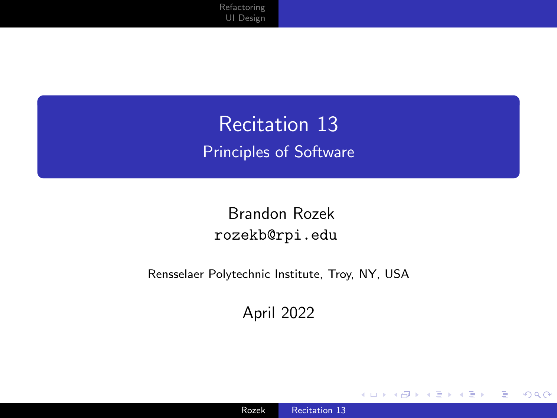<span id="page-0-0"></span>Recitation 13 Principles of Software

Brandon Rozek [rozekb@rpi.edu](mailto:rozekb@rpi.edu)

Rensselaer Polytechnic Institute, Troy, NY, USA

April 2022

4日下

◀ 向  $\mathbb{R}$   $299$ 

∍

Ε

 $\sim$ к  $\rightarrow$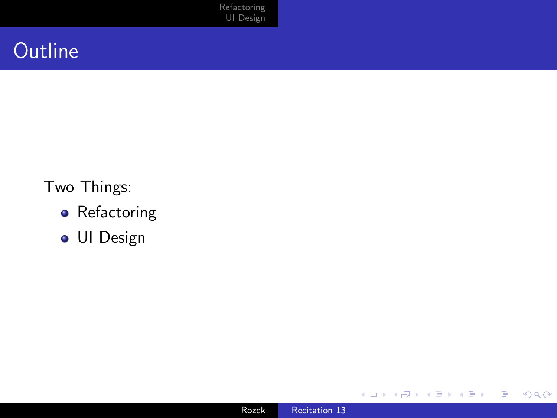[Refactoring](#page-2-0) [UI Design](#page-15-0)

## **Outline**

#### Two Things:

- **•** Refactoring
- UI Design

4 0 8

4 传 ) 4 ≣ E

活  $\,$ 

D.  $\prec$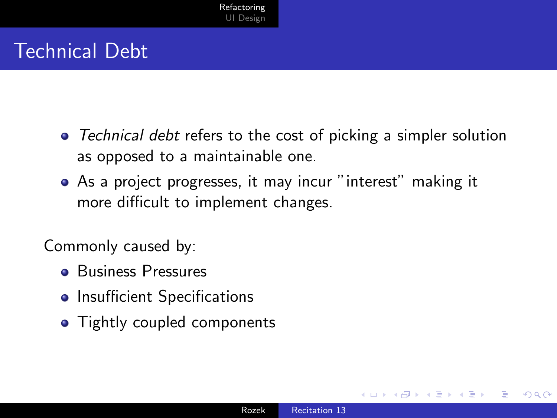## <span id="page-2-0"></span>Technical Debt

- Technical debt refers to the cost of picking a simpler solution as opposed to a maintainable one.
- As a project progresses, it may incur "interest" making it more difficult to implement changes.

Commonly caused by:

- **Business Pressures**
- Insufficient Specifications
- Tightly coupled components

つくい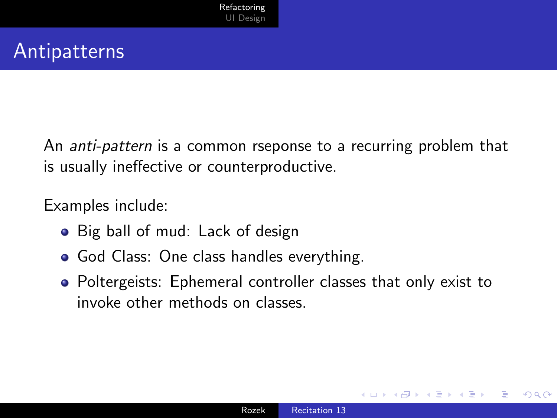#### Antipatterns

An anti-pattern is a common rseponse to a recurring problem that is usually ineffective or counterproductive.

Examples include:

- Big ball of mud: Lack of design
- **God Class: One class handles everything.**
- Poltergeists: Ephemeral controller classes that only exist to invoke other methods on classes.

つくい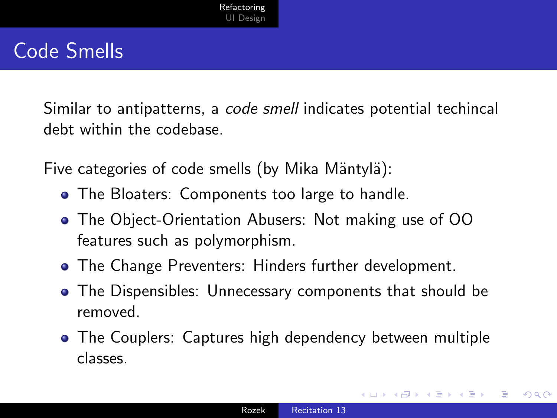## Code Smells

Similar to antipatterns, a code smell indicates potential techincal debt within the codebase.

Five categories of code smells (by Mika Mäntylä):

- **The Bloaters: Components too large to handle.**
- The Object-Orientation Abusers: Not making use of OO features such as polymorphism.
- **The Change Preventers: Hinders further development.**
- The Dispensibles: Unnecessary components that should be removed.
- The Couplers: Captures high dependency between multiple classes.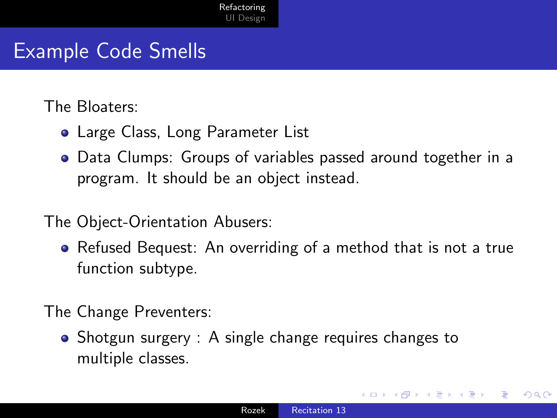#### Example Code Smells

The Bloaters:

- Large Class, Long Parameter List
- Data Clumps: Groups of variables passed around together in a program. It should be an object instead.
- The Object-Orientation Abusers:
	- Refused Bequest: An overriding of a method that is not a true function subtype.

The Change Preventers:

• Shotgun surgery : A single change requires changes to multiple classes.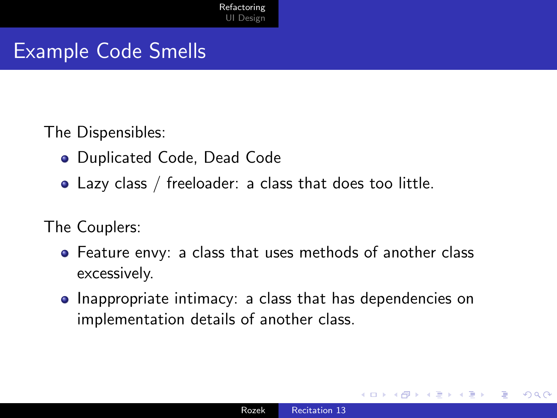#### Example Code Smells

The Dispensibles:

- Duplicated Code, Dead Code
- Lazy class / freeloader: a class that does too little.

The Couplers:

- Feature envy: a class that uses methods of another class excessively.
- Inappropriate intimacy: a class that has dependencies on implementation details of another class.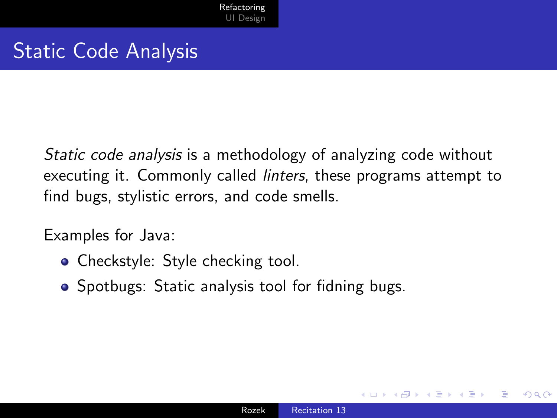### Static Code Analysis

Static code analysis is a methodology of analyzing code without executing it. Commonly called linters, these programs attempt to find bugs, stylistic errors, and code smells.

Examples for Java:

- Checkstyle: Style checking tool.
- Spotbugs: Static analysis tool for fidning bugs.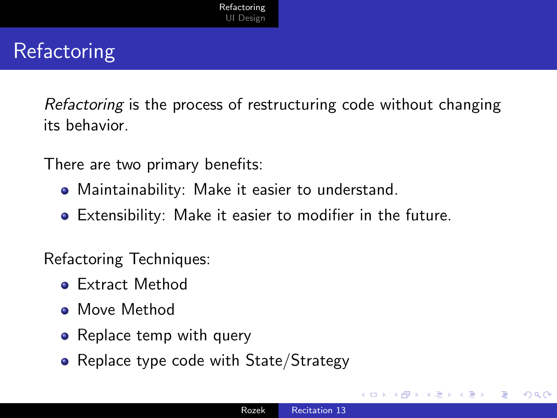# **Refactoring**

Refactoring is the process of restructuring code without changing its behavior.

There are two primary benefits:

- Maintainability: Make it easier to understand.
- Extensibility: Make it easier to modifier in the future.

Refactoring Techniques:

- Extract Method
- **•** Move Method
- Replace temp with query
- Replace type code with State/Strategy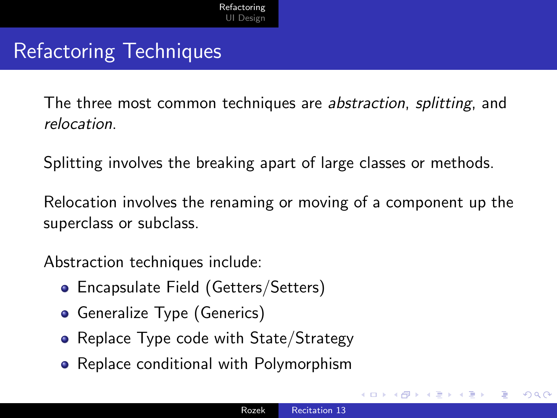#### Refactoring Techniques

The three most common techniques are abstraction, splitting, and relocation.

Splitting involves the breaking apart of large classes or methods.

Relocation involves the renaming or moving of a component up the superclass or subclass.

Abstraction techniques include:

- Encapsulate Field (Getters/Setters)
- **Generalize Type (Generics)**
- Replace Type code with State/Strategy
- Replace conditional with Polymorphism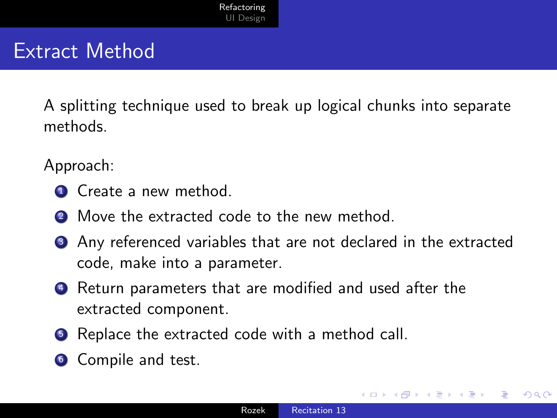### Extract Method

A splitting technique used to break up logical chunks into separate methods.

Approach:

- **4** Create a new method.
- 2 Move the extracted code to the new method.
- <sup>3</sup> Any referenced variables that are not declared in the extracted code, make into a parameter.
- <sup>4</sup> Return parameters that are modified and used after the extracted component.
- **•** Replace the extracted code with a method call.
- **6** Compile and test.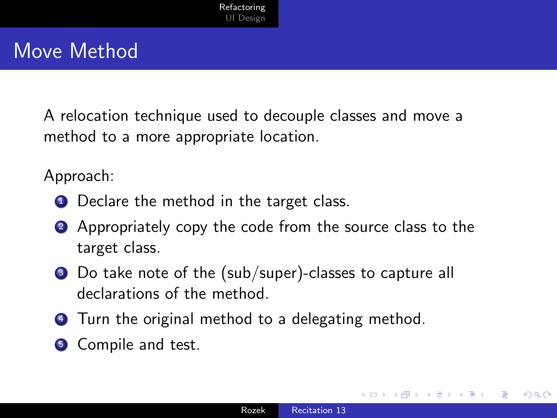#### Move Method

A relocation technique used to decouple classes and move a method to a more appropriate location.

Approach:

- **1** Declare the method in the target class.
- 2 Appropriately copy the code from the source class to the target class.
- <sup>3</sup> Do take note of the (sub/super)-classes to capture all declarations of the method.
- **4** Turn the original method to a delegating method.
- **6** Compile and test.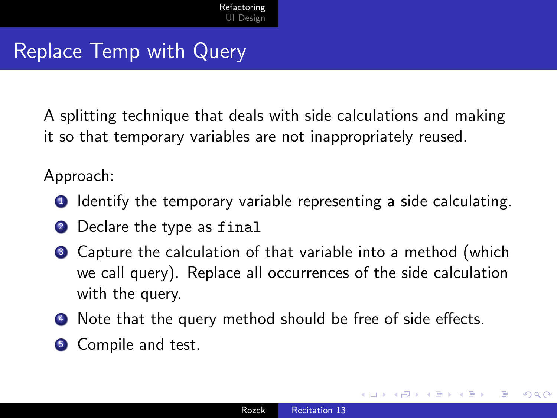#### Replace Temp with Query

A splitting technique that deals with side calculations and making it so that temporary variables are not inappropriately reused.

Approach:

- **1** Identify the temporary variable representing a side calculating.
- <sup>2</sup> Declare the type as final
- **3** Capture the calculation of that variable into a method (which we call query). Replace all occurrences of the side calculation with the query.
- <sup>4</sup> Note that the query method should be free of side effects.
- **6** Compile and test.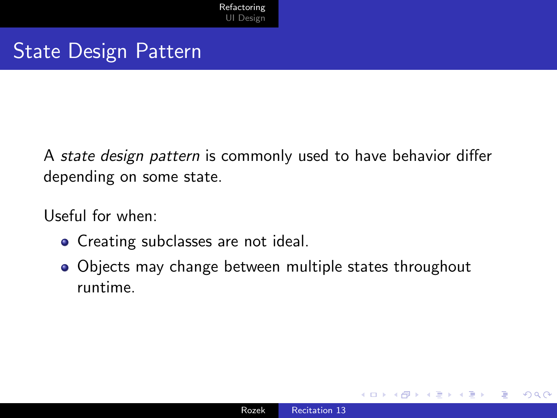#### State Design Pattern

A state design pattern is commonly used to have behavior differ depending on some state.

Useful for when:

- Creating subclasses are not ideal.
- Objects may change between multiple states throughout runtime.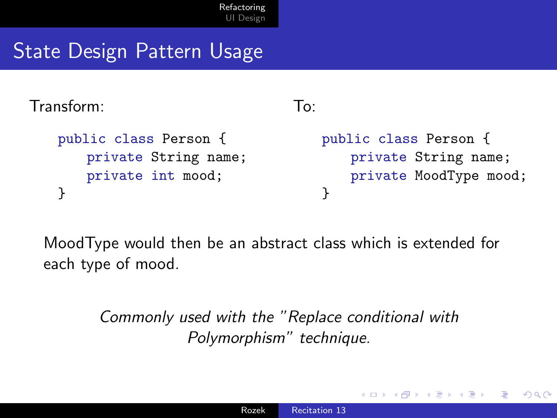## State Design Pattern Usage

Transform:

```
public class Person {
   private String name;
   private int mood;
}
```
To:

public class Person { private String name; private MoodType mood; }

 $200$ 

MoodType would then be an abstract class which is extended for each type of mood.

> Commonly used with the "Replace conditional with Polymorphism" technique.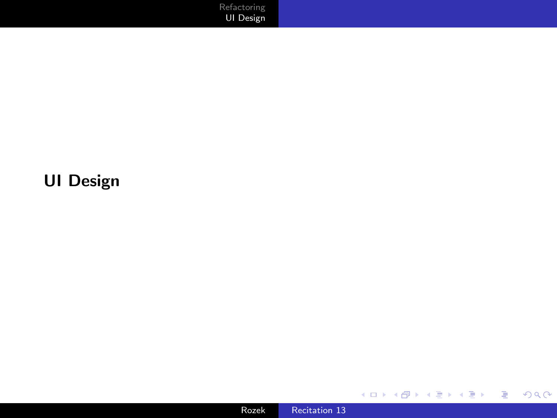[Refactoring](#page-2-0) [UI Design](#page-15-0)

#### <span id="page-15-0"></span>UI Design



イロメ イ団 メイモメ イモメー

重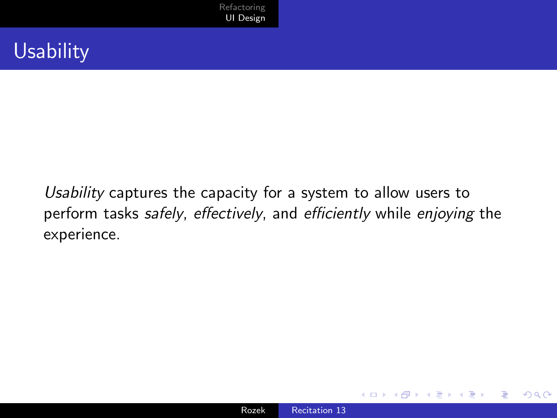#### Usability

Usability captures the capacity for a system to allow users to perform tasks safely, effectively, and efficiently while enjoying the experience.

 $299$ 

∍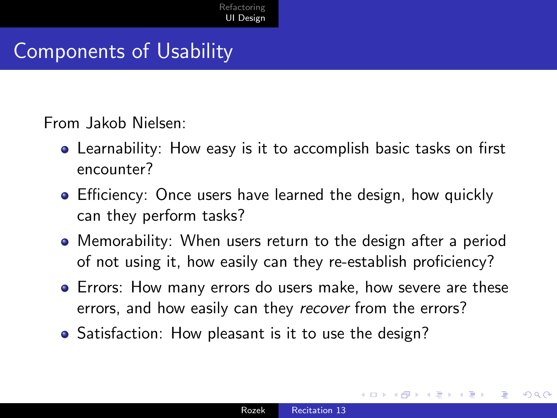## Components of Usability

From Jakob Nielsen:

- Learnability: How easy is it to accomplish basic tasks on first encounter?
- Efficiency: Once users have learned the design, how quickly can they perform tasks?
- Memorability: When users return to the design after a period of not using it, how easily can they re-establish proficiency?
- Errors: How many errors do users make, how severe are these errors, and how easily can they recover from the errors?
- Satisfaction: How pleasant is it to use the design?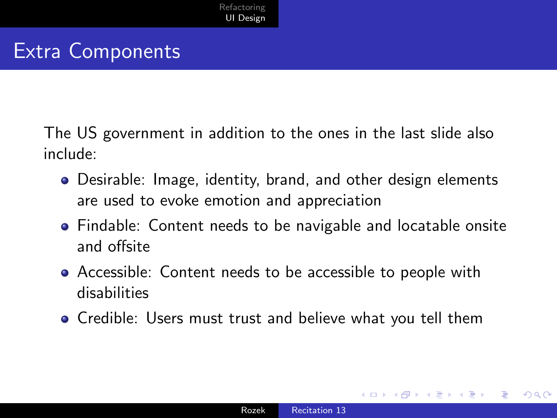## Extra Components

The US government in addition to the ones in the last slide also include:

- Desirable: Image, identity, brand, and other design elements are used to evoke emotion and appreciation
- Findable: Content needs to be navigable and locatable onsite and offsite
- Accessible: Content needs to be accessible to people with disabilities
- Credible: Users must trust and believe what you tell them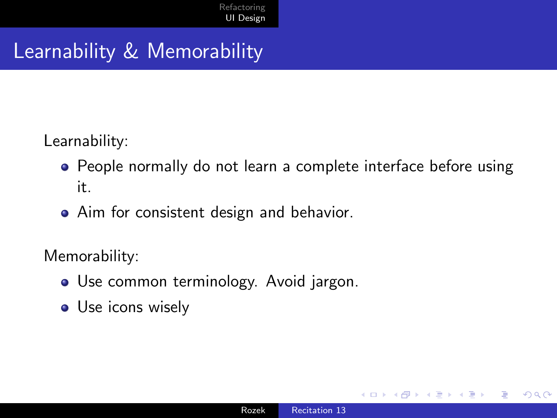## Learnability & Memorability

Learnability:

- People normally do not learn a complete interface before using it.
- Aim for consistent design and behavior.

Memorability:

- Use common terminology. Avoid jargon.
- Use icons wisely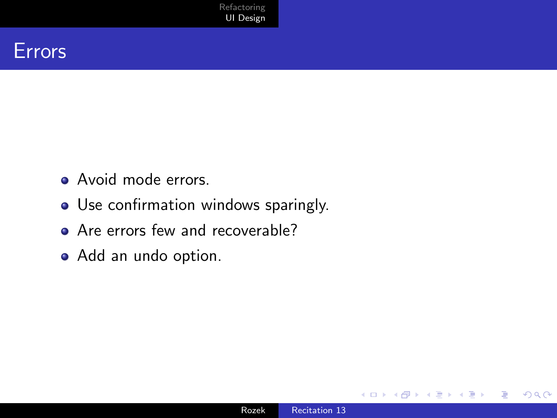

- Avoid mode errors.
- Use confirmation windows sparingly.
- Are errors few and recoverable?
- Add an undo option.

 $\sim$   $\sim$ 

 $299$ 

∍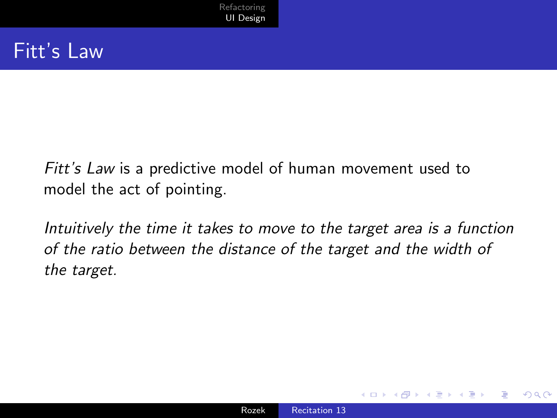Fitt's Law is a predictive model of human movement used to model the act of pointing.

Intuitively the time it takes to move to the target area is a function of the ratio between the distance of the target and the width of the target.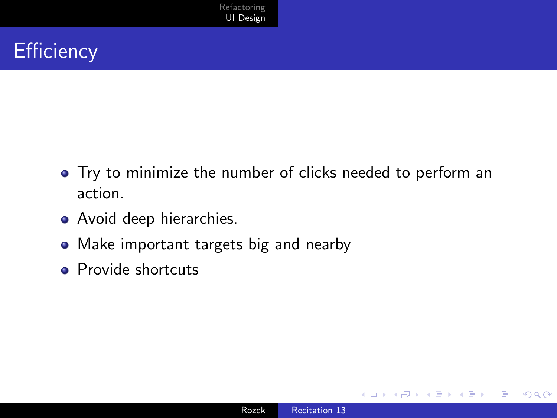## **Efficiency**

- Try to minimize the number of clicks needed to perform an action.
- Avoid deep hierarchies.
- Make important targets big and nearby
- Provide shortcuts

 $\Omega$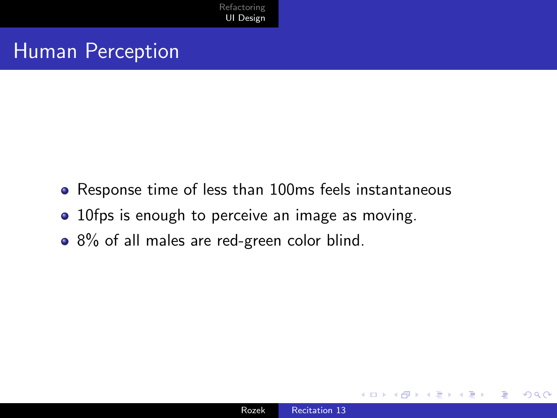#### Human Perception

- Response time of less than 100ms feels instantaneous
- 10fps is enough to perceive an image as moving.
- 8% of all males are red-green color blind.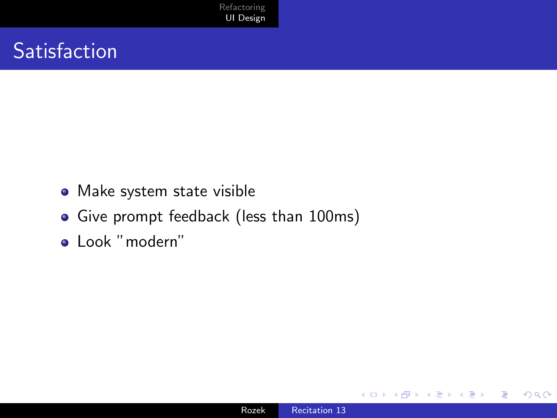## **Satisfaction**

- Make system state visible
- Give prompt feedback (less than 100ms)
- Look "modern"

∢⊡

 $299$ 

∍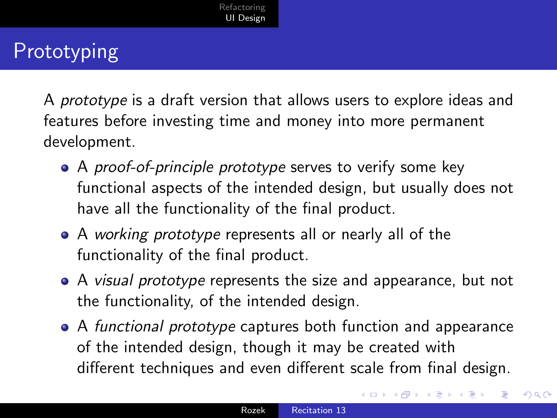# Prototyping

A prototype is a draft version that allows users to explore ideas and features before investing time and money into more permanent development.

- A proof-of-principle prototype serves to verify some key functional aspects of the intended design, but usually does not have all the functionality of the final product.
- A working prototype represents all or nearly all of the functionality of the final product.
- A visual prototype represents the size and appearance, but not the functionality, of the intended design.
- A functional prototype captures both function and appearance of the intended design, though it may be created with different techniques and even different scale from final design.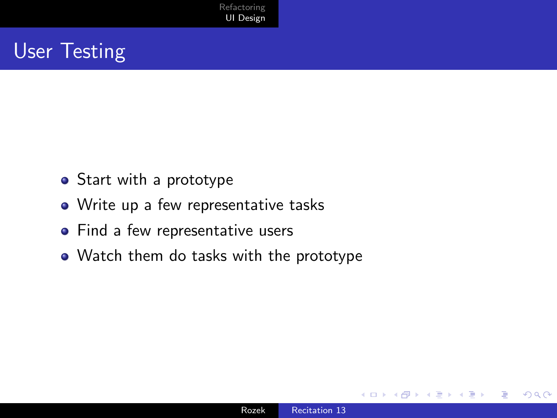## User Testing

- Start with a prototype
- Write up a few representative tasks
- Find a few representative users
- Watch them do tasks with the prototype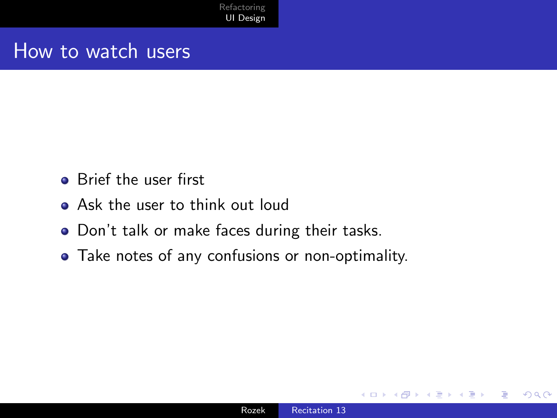#### How to watch users

- **Brief the user first**
- Ask the user to think out loud
- Don't talk or make faces during their tasks.
- Take notes of any confusions or non-optimality.